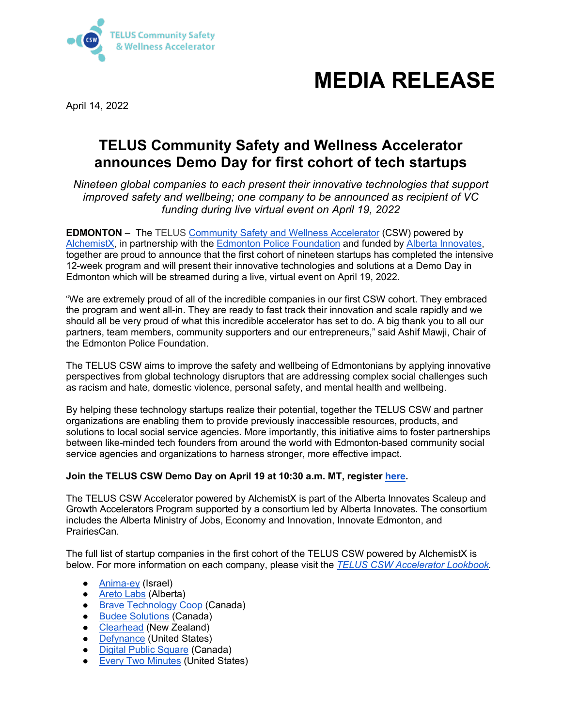

# **MEDIA RELEASE**

April 14, 2022

# **TELUS Community Safety and Wellness Accelerator announces Demo Day for first cohort of tech startups**

*Nineteen global companies to each present their innovative technologies that support improved safety and wellbeing; one company to be announced as recipient of VC funding during live virtual event on April 19, 2022*

**EDMONTON** – The [TELUS Community Safety and Wellness Accelerator](https://cswaccelerator.com/) (CSW) powered by [AlchemistX,](https://www.alchemistaccelerator.com/) in partnership with the [Edmonton Police Foundation](https://edmontonpolicefoundation.com/) and funded by [Alberta Innovates,](https://albertainnovates.ca/) together are proud to announce that the first cohort of nineteen startups has completed the intensive 12-week program and will present their innovative technologies and solutions at a Demo Day in Edmonton which will be streamed during a live, virtual event on April 19, 2022.

"We are extremely proud of all of the incredible companies in our first CSW cohort. They embraced the program and went all-in. They are ready to fast track their innovation and scale rapidly and we should all be very proud of what this incredible accelerator has set to do. A big thank you to all our partners, team members, community supporters and our entrepreneurs," said Ashif Mawji, Chair of the Edmonton Police Foundation.

The TELUS CSW aims to improve the safety and wellbeing of Edmontonians by applying innovative perspectives from global technology disruptors that are addressing complex social challenges such as racism and hate, domestic violence, personal safety, and mental health and wellbeing.

By helping these technology startups realize their potential, together the TELUS CSW and partner organizations are enabling them to provide previously inaccessible resources, products, and solutions to local social service agencies. More importantly, this initiative aims to foster partnerships between like-minded tech founders from around the world with Edmonton-based community social service agencies and organizations to harness stronger, more effective impact.

# **Join the TELUS CSW Demo Day on April 19 at 10:30 a.m. MT, register [here.](https://www.airmeet.com/e/8b349440-ac76-11ec-a329-df7122a84c79)**

The TELUS CSW Accelerator powered by AlchemistX is part of the Alberta Innovates Scaleup and Growth Accelerators Program supported by a consortium led by Alberta Innovates. The consortium includes the Alberta Ministry of Jobs, Economy and Innovation, Innovate Edmonton, and PrairiesCan.

The full list of startup companies in the first cohort of the TELUS CSW powered by AlchemistX is below. For more information on each company, please visit the *[TELUS CSW Accelerator Lookbook.](https://www.flipsnack.com/FEB668BBDC9/telus-csw-lookbook_-cohort1_spring2022-pdf-1-1.html)*

- [Anima-ey](https://anima-ey.com/) (Israel)
- **[Areto Labs](https://www.aretolabs.com/)** (Alberta)
- [Brave Technology Coop](https://www.brave.coop/) (Canada)
- [Budee Solutions](http://www.budeesolutions.com/) (Canada)
- $\bullet$  [Clearhead](https://www.clearhead.org.nz/) (New Zealand)
- [Defynance](https://defynance.com/) (United States)
- [Digital Public Square](https://digitalpublicsquare.org/) (Canada)
- [Every Two Minutes](https://mysidekickapp.io/) (United States)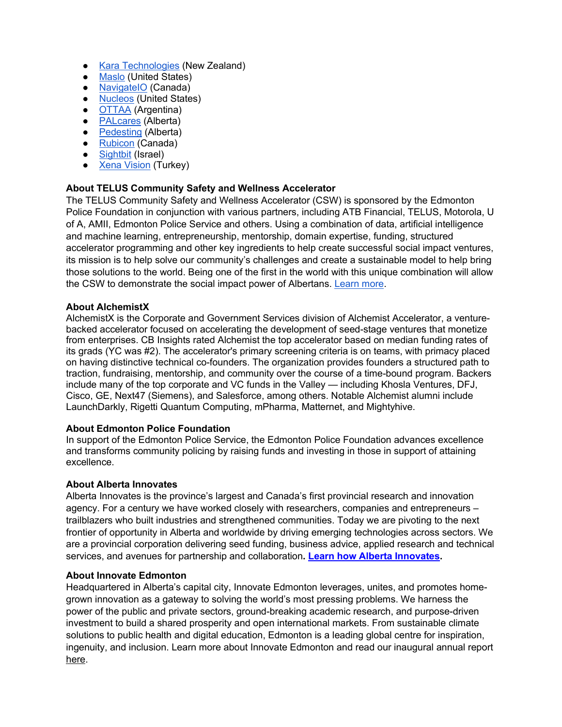- [Kara Technologies](http://www.kara.tech/) (New Zealand)
- [Maslo](https://maslo.ai/) (United States)
- [NavigateIO](https://www.navigateio.com/) (Canada)
- [Nucleos](https://nucleos.com/) [\(](https://nucleos.com/)United States)
- [OTTAA](https://www.ottaaproject.com/home.php) (Argentina)
- [PALcares](https://pal2pqh28bd.site/) (Alberta)
- [Pedesting](https://pedesting.com/) (Alberta)
- [Rubicon](https://www.tryrubicon.com/) (Canada)
- [Sightbit](https://sightbit.com/) (Israel)
- Xena [Vision](https://xena-vision.com/) (Turkey)

### **About TELUS Community Safety and Wellness Accelerator**

The TELUS Community Safety and Wellness Accelerator (CSW) is sponsored by the Edmonton Police Foundation in conjunction with various partners, including ATB Financial, TELUS, Motorola, U of A, AMII, Edmonton Police Service and others. Using a combination of data, artificial intelligence and machine learning, entrepreneurship, mentorship, domain expertise, funding, structured accelerator programming and other key ingredients to help create successful social impact ventures, its mission is to help solve our community's challenges and create a sustainable model to help bring those solutions to the world. Being one of the first in the world with this unique combination will allow the CSW to demonstrate the social impact power of Albertans. [Learn more.](https://cswaccelerator.com/)

#### **About AlchemistX**

AlchemistX is the Corporate and Government Services division of Alchemist Accelerator, a venturebacked accelerator focused on accelerating the development of seed-stage ventures that monetize from enterprises. CB Insights rated Alchemist the top accelerator based on median funding rates of its grads (YC was #2). The accelerator's primary screening criteria is on teams, with primacy placed on having distinctive technical co-founders. The organization provides founders a structured path to traction, fundraising, mentorship, and community over the course of a time-bound program. Backers include many of the top corporate and VC funds in the Valley — including Khosla Ventures, DFJ, Cisco, GE, Next47 (Siemens), and Salesforce, among others. Notable Alchemist alumni include LaunchDarkly, Rigetti Quantum Computing, mPharma, Matternet, and Mightyhive.

#### **About Edmonton Police Foundation**

In support of the Edmonton Police Service, the Edmonton Police Foundation advances excellence and transforms community policing by raising funds and investing in those in support of attaining excellence.

#### **About Alberta Innovates**

Alberta Innovates is the province's largest and Canada's first provincial research and innovation agency. For a century we have worked closely with researchers, companies and entrepreneurs – trailblazers who built industries and strengthened communities. Today we are pivoting to the next frontier of opportunity in Alberta and worldwide by driving emerging technologies across sectors. We are a provincial corporation delivering seed funding, business advice, applied research and technical services, and avenues for partnership and collaboration**. [Learn how Alberta Innovates.](https://albertainnovates.ca/)**

#### **About Innovate Edmonton**

Headquartered in Alberta's capital city, Innovate Edmonton leverages, unites, and promotes homegrown innovation as a gateway to solving the world's most pressing problems. We harness the power of the public and private sectors, ground-breaking academic research, and purpose-driven investment to build a shared prosperity and open international markets. From sustainable climate solutions to public health and digital education, Edmonton is a leading global centre for inspiration, ingenuity, and inclusion. Learn more about [Innovate Edmonton](https://urldefense.com/v3/__https:/innovateedmonton.com/__;!!KWSH4Uiub072P3-b!KMkhfVXlB2XokGUBN8YgNz4iU8ddpS6vW8cTB-cak-VRr1D2AXWpEkGbixqVsdFqKtH0nkBSoYqp$) and read our inaugural annual repor[t](https://innovateedmonton.com/publications/) [here.](https://innovateedmonton.com/publications/)